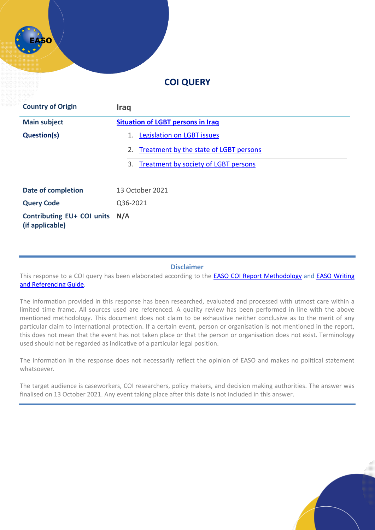# **COI QUERY**

| <b>Country of Origin</b>                             | <b>Iraq</b>                                |
|------------------------------------------------------|--------------------------------------------|
| <b>Main subject</b>                                  | <b>Situation of LGBT persons in Iraq</b>   |
| <b>Question(s)</b>                                   | <b>Legislation on LGBT issues</b><br>1.    |
|                                                      | 2. Treatment by the state of LGBT persons  |
|                                                      | Treatment by society of LGBT persons<br>3. |
| <b>Date of completion</b>                            | 13 October 2021                            |
| <b>Query Code</b>                                    | Q36-2021                                   |
| <b>Contributing EU+ COI units</b><br>(if applicable) | N/A                                        |

#### **Disclaimer**

This response to a COI query has been elaborated according to the [EASO COI Report Methodology](https://coi.easo.europa.eu/administration/easo/PLib/2019_EASO_COI_Report_Methodology.pdf) and EASO Writing [and Referencing Guide](https://coi.easo.europa.eu/administration/easo/PLib/2019_EASO_COI_Writing_and_Referencing_Guide.pdf)*.* 

The information provided in this response has been researched, evaluated and processed with utmost care within a limited time frame. All sources used are referenced. A quality review has been performed in line with the above mentioned methodology. This document does not claim to be exhaustive neither conclusive as to the merit of any particular claim to international protection. If a certain event, person or organisation is not mentioned in the report, this does not mean that the event has not taken place or that the person or organisation does not exist. Terminology used should not be regarded as indicative of a particular legal position.

The information in the response does not necessarily reflect the opinion of EASO and makes no political statement whatsoever.

The target audience is caseworkers, COI researchers, policy makers, and decision making authorities. The answer was finalised on 13 October 2021. Any event taking place after this date is not included in this answer.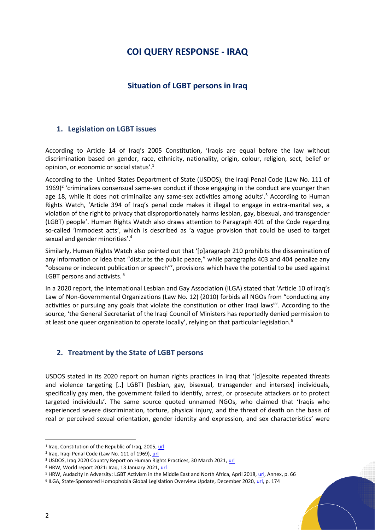# **COI QUERY RESPONSE - IRAQ**

## **Situation of LGBT persons in Iraq**

#### <span id="page-1-1"></span><span id="page-1-0"></span>**1. Legislation on LGBT issues**

According to Article 14 of Iraq's 2005 Constitution, 'Iraqis are equal before the law without discrimination based on gender, race, ethnicity, nationality, origin, colour, religion, sect, belief or opinion, or economic or social status'. 1

According to the United States Department of State (USDOS), the Iraqi Penal Code (Law No. 111 of 1969)<sup>2</sup> 'criminalizes consensual same-sex conduct if those engaging in the conduct are younger than age 18, while it does not criminalize any same-sex activities among adults'.<sup>3</sup> According to Human Rights Watch, 'Article 394 of Iraq's penal code makes it illegal to engage in extra-marital sex, a violation of the right to privacy that disproportionately harms lesbian, gay, bisexual, and transgender (LGBT) people'. Human Rights Watch also draws attention to Paragraph 401 of the Code regarding so-called 'immodest acts', which is described as 'a vague provision that could be used to target sexual and gender minorities'.<sup>4</sup>

Similarly, Human Rights Watch also pointed out that '[p]aragraph 210 prohibits the dissemination of any information or idea that "disturbs the public peace," while paragraphs 403 and 404 penalize any "obscene or indecent publication or speech"', provisions which have the potential to be used against LGBT persons and activists.<sup>5</sup>

In a 2020 report, the International Lesbian and Gay Association (ILGA) stated that 'Article 10 of Iraq's Law of Non-Governmental Organizations (Law No. 12) (2010) forbids all NGOs from "conducting any activities or pursuing any goals that violate the constitution or other Iraqi laws"'. According to the source, 'the General Secretariat of the Iraqi Council of Ministers has reportedly denied permission to at least one queer organisation to operate locally', relying on that particular legislation.<sup>6</sup>

### <span id="page-1-2"></span>**2. Treatment by the State of LGBT persons**

USDOS stated in its 2020 report on human rights practices in Iraq that '[d]espite repeated threats and violence targeting [..] LGBTI [lesbian, gay, bisexual, transgender and intersex] individuals, specifically gay men, the government failed to identify, arrest, or prosecute attackers or to protect targeted individuals'. The same source quoted unnamed NGOs, who claimed that 'Iraqis who experienced severe discrimination, torture, physical injury, and the threat of death on the basis of real or perceived sexual orientation, gender identity and expression, and sex characteristics' were

<sup>&</sup>lt;sup>1</sup> Iraq, Constitution of the Republic of Iraq, 2005[, url](https://www.constituteproject.org/constitution/Iraq_2005.pdf?lang=en)

<sup>&</sup>lt;sup>2</sup> Iraq, Iraqi Penal Code (Law No. 111 of 1969), <mark>url</mark>

<sup>&</sup>lt;sup>3</sup> USDOS, Iraq 2020 Country Report on Human Rights Practices, 30 March 2021, [url](https://www.state.gov/report/custom/cf263bca3f/)

<sup>&</sup>lt;sup>4</sup> HRW, World report 2021: Iraq, 13 January 2021[, url](https://www.hrw.org/world-report/2021/country-chapters/iraq#0ed443)

<sup>&</sup>lt;sup>5</sup> HRW, Audacity In Adversity: LGBT Activism in the Middle East and North Africa, April 2018, [url,](https://www.hrw.org/sites/default/files/report_pdf/lgbt_mena0418_web_0.pdf) Annex, p. 66

<sup>&</sup>lt;sup>6</sup> ILGA, State-Sponsored Homophobia Global Legislation Overview Update, December 2020, <u>url</u>, p. 174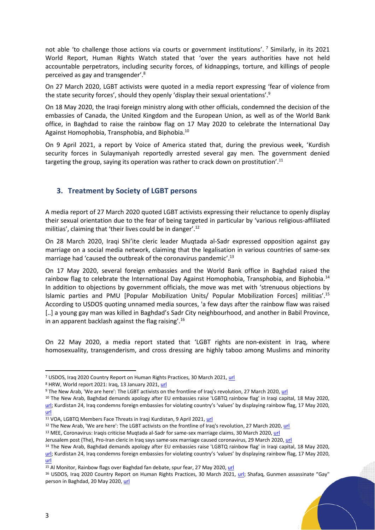not able 'to challenge those actions via courts or government institutions'. <sup>7</sup> Similarly, in its 2021 World Report, Human Rights Watch stated that 'over the years authorities have not held accountable perpetrators, including security forces, of kidnappings, torture, and killings of people perceived as gay and transgender'. 8

On 27 March 2020, LGBT activists were quoted in a media report expressing 'fear of violence from the state security forces', should they openly 'display their sexual orientations'. 9

On 18 May 2020, the Iraqi foreign ministry along with other officials, condemned the decision of the embassies of Canada, the United Kingdom and the European Union, as well as of the World Bank office, in Baghdad to raise the rainbow flag on 17 May 2020 to celebrate the International Day Against Homophobia, Transphobia, and Biphobia.<sup>10</sup>

On 9 April 2021, a report by Voice of America stated that, during the previous week, 'Kurdish security forces in Sulaymaniyah reportedly arrested several gay men. The government denied targeting the group, saying its operation was rather to crack down on prostitution'. $^{\rm 11}$ 

### <span id="page-2-0"></span>**3. Treatment by Society of LGBT persons**

A media report of 27 March 2020 quoted LGBT activists expressing their reluctance to openly display their sexual orientation due to the fear of being targeted in particular by 'various religious-affiliated militias', claiming that 'their lives could be in danger'.<sup>12</sup>

On 28 March 2020, Iraqi Shi'ite cleric leader Muqtada al-Sadr expressed opposition against gay marriage on a social media network, claiming that the legalisation in various countries of same-sex marriage had 'caused the outbreak of the coronavirus pandemic'. 13

On 17 May 2020, several foreign embassies and the World Bank office in Baghdad raised the rainbow flag to celebrate the International Day Against Homophobia, Transphobia, and Biphobia.<sup>14</sup> In addition to objections by government officials, the move was met with 'strenuous objections by Islamic parties and PMU [Popular Mobilization Units/ Popular Mobilization Forces] militias'.<sup>15</sup> According to USDOS quoting unnamed media sources, 'a few days after the rainbow flaw was raised [..] a young gay man was killed in Baghdad's Sadr City neighbourhood, and another in Babil Province, in an apparent backlash against the flag raising'.<sup>16</sup>

On 22 May 2020, a media report stated that 'LGBT rights are non-existent in Iraq, where homosexuality, transgenderism, and cross dressing are highly taboo among Muslims and minority

<sup>&</sup>lt;sup>7</sup> USDOS, Iraq 2020 Country Report on Human Rights Practices, 30 March 2021, [url](https://www.state.gov/report/custom/cf263bca3f/)

<sup>&</sup>lt;sup>8</sup> HRW, World report 2021: Iraq, 13 January 2021[, url](https://www.hrw.org/world-report/2021/country-chapters/iraq#0ed443)

<sup>&</sup>lt;sup>9</sup> The New Arab, 'We are here': The LGBT activists on the frontline of Iraq's revolution, 27 March 2020, [url](https://english.alaraby.co.uk/analysis/fight-lgbt-rights-iraqs-revolution)

<sup>&</sup>lt;sup>10</sup> The New Arab, Baghdad demands apology after EU embassies raise 'LGBTQ rainbow flag' in Iraqi capital, 18 May 2020, [url;](https://english.alaraby.co.uk/news/eu-embassies-face-iraqi-backlash-after-raising-lgbtq-flag) Kurdistan 24, Iraq condemns foreign embassies for violating country's 'values' by displaying rainbow flag, 17 May 2020, [url](https://www.kurdistan24.net/en/story/22442-Iraq-condemns-foreign-embassies-for-violating-country%E2%80%99s-%E2%80%98values%E2%80%99-by-displaying-rainbow-flag)

<sup>11</sup> VOA, LGBTQ Members Face Threats in Iraqi Kurdistan, 9 April 2021, [url](https://www.voanews.com/a/extremism-watch_lgbtq-members-face-threats-iraqi-kurdistan/6204379.html)

<sup>&</sup>lt;sup>12</sup> The New Arab, 'We are here': The LGBT activists on the frontline of Iraq's revolution, 27 March 2020[, url](https://english.alaraby.co.uk/analysis/fight-lgbt-rights-iraqs-revolution)

<sup>13</sup> MEE, Coronavirus: Iraqis criticise Muqtada al-Sadr for same-sex marriage claims, 30 March 2020, [url](https://www.middleeasteye.net/news/coronavirus-iraq-muqtda-sadr-covid-19-same-sex-marriage?__cf_chl_jschl_tk__=pmd_Ar44fb5YcEI9mWuAC.mFkjyjZI9bnN3I8yqqF.jP92E-1633964626-0-gqNtZGzNAjujcnBszQo9)

Jerusalem post (The), Pro-Iran cleric in Iraq says same-sex marriage caused coronavirus, 29 March 2020[, url](https://www.jpost.com/middle-east/pro-iran-regime-cleric-in-iraq-says-same-sex-marriage-caused-coronavirus-622707)

<sup>&</sup>lt;sup>14</sup> The New Arab, Baghdad demands apology after EU embassies raise 'LGBTQ rainbow flag' in Iraqi capital, 18 May 2020, [url](https://english.alaraby.co.uk/news/eu-embassies-face-iraqi-backlash-after-raising-lgbtq-flag); Kurdistan 24, Iraq condemns foreign embassies for violating country's 'values' by displaying rainbow flag, 17 May 2020, [url](https://www.kurdistan24.net/en/story/22442-Iraq-condemns-foreign-embassies-for-violating-country%E2%80%99s-%E2%80%98values%E2%80%99-by-displaying-rainbow-flag)

<sup>&</sup>lt;sup>15</sup> Al Monitor, Rainbow flags over Baghdad fan debate, spur fear, 27 May 2020, [url](https://www.al-monitor.com/originals/2020/05/iraq-lgbt-culture-justice.html#ixzz799rBqmQy)

<sup>&</sup>lt;sup>16</sup> USDOS, Iraq 2020 Country Report on Human Rights Practices, 30 March 2021, [url](https://www.state.gov/report/custom/cf263bca3f/); Shafaq, Gunmen assassinate "Gay" person in Baghdad, 20 May 2020[, url](https://shafaq.com/en/iraq-news/gunmen-assassinate-gay-person-in-baghdad/)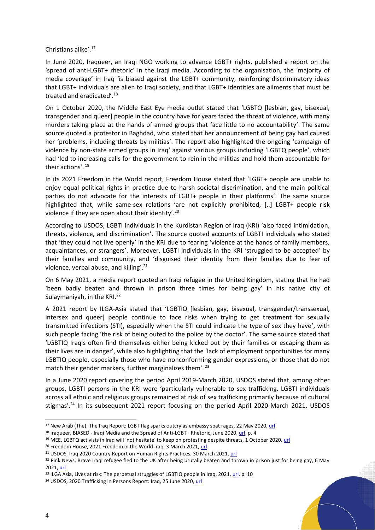Christians alike'. 17

In June 2020, Iraqueer, an Iraqi NGO working to advance LGBT+ rights, published a report on the 'spread of anti-LGBT+ rhetoric' in the Iraqi media. According to the organisation, the 'majority of media coverage' in Iraq 'is biased against the LGBT+ community, reinforcing discriminatory ideas that LGBT+ individuals are alien to Iraqi society, and that LGBT+ identities are ailments that must be treated and eradicated'.<sup>18</sup>

On 1 October 2020, the Middle East Eye media outlet stated that 'LGBTQ [lesbian, gay, bisexual, transgender and queer] people in the country have for years faced the threat of violence, with many murders taking place at the hands of armed groups that face little to no accountability'. The same source quoted a protestor in Baghdad, who stated that her announcement of being gay had caused her 'problems, including threats by militias'. The report also highlighted the ongoing 'campaign of violence by non-state armed groups in Iraq' against various groups including 'LGBTQ people', which had 'led to increasing calls for the government to rein in the militias and hold them accountable for their actions'. 19

In its 2021 Freedom in the World report, Freedom House stated that 'LGBT+ people are unable to enjoy equal political rights in practice due to harsh societal discrimination, and the main political parties do not advocate for the interests of LGBT+ people in their platforms'. The same source highlighted that, while same-sex relations 'are not explicitly prohibited, [..] LGBT+ people risk violence if they are open about their identity'.<sup>20</sup>

According to USDOS, LGBTI individuals in the Kurdistan Region of Iraq (KRI) 'also faced intimidation, threats, violence, and discrimination'. The source quoted accounts of LGBTI individuals who stated that 'they could not live openly' in the KRI due to fearing 'violence at the hands of family members, acquaintances, or strangers'. Moreover, LGBTI individuals in the KRI 'struggled to be accepted' by their families and community, and 'disguised their identity from their families due to fear of violence, verbal abuse, and killing'. 21

On 6 May 2021, a media report quoted an Iraqi refugee in the United Kingdom, stating that he had 'been badly beaten and thrown in prison three times for being gay' in his native city of Sulaymaniyah, in the KRI.<sup>22</sup>

A 2021 report by ILGA-Asia stated that 'LGBTIQ [lesbian, gay, bisexual, transgender/transsexual, intersex and queer] people continue to face risks when trying to get treatment for sexually transmitted infections (STI), especially when the STI could indicate the type of sex they have', with such people facing 'the risk of being outed to the police by the doctor'. The same source stated that 'LGBTIQ Iraqis often find themselves either being kicked out by their families or escaping them as their lives are in danger', while also highlighting that the 'lack of employment opportunities for many LGBTIQ people, especially those who have nonconforming gender expressions, or those that do not match their gender markers, further marginalizes them'.<sup>23</sup>

In a June 2020 report covering the period April 2019-March 2020, USDOS stated that, among other groups, LGBTI persons in the KRI were 'particularly vulnerable to sex trafficking. LGBTI individuals across all ethnic and religious groups remained at risk of sex trafficking primarily because of cultural stigmas'.<sup>24</sup> In its subsequent 2021 report focusing on the period April 2020-March 2021, USDOS

<sup>&</sup>lt;sup>17</sup> New Arab (The), The Iraq Report: LGBT flag sparks outcry as embassy spat rages, 22 May 2020[, url](https://english.alaraby.co.uk/analysis/iraq-report-raising-lgbt-flag-sparks-outcry)

<sup>&</sup>lt;sup>18</sup> Iraqueer, BIASED - Iraqi Media and the Spread of Anti-LGBT+ Rhetoric, June 2020[, url,](https://www.iraqueer.org/uploads/1/2/4/0/124034920/media_report_-_english_.pdf) p. 4

<sup>&</sup>lt;sup>19</sup> MEE, LGBTQ activists in Iraq will 'not hesitate' to keep on protesting despite threats, 1 October 2020[, url](https://www.middleeasteye.net/news/iraq-protests-lgbt-threats)

<sup>&</sup>lt;sup>20</sup> Freedom House, 2021 Freedom in the World Iraq, 3 March 2021, [url](https://freedomhouse.org/country/iraq/freedom-world/2021)

<sup>&</sup>lt;sup>21</sup> USDOS, Iraq 2020 Country Report on Human Rights Practices, 30 March 2021, [url](https://www.state.gov/report/custom/cf263bca3f/)

<sup>&</sup>lt;sup>22</sup> Pink News, Brave Iraqi refugee fled to the UK after being brutally beaten and thrown in prison just for being gay, 6 May 2021[, url](https://www.pinknews.co.uk/2021/05/06/refugee-gay-iraq-sulaymaniyah-kurdistan-lgbt/)

<sup>&</sup>lt;sup>23</sup> ILGA Asia, Lives at risk: The perpetual struggles of LGBTIQ people in Iraq, 2021[, url,](https://static1.squarespace.com/static/5a84777f64b05fa9644483fe/t/60b8b0452a2ef7287839600c/1622716676226/Country+Report_Iraq.pdf) p. 10

<sup>&</sup>lt;sup>24</sup> USDOS, 2020 Trafficking in Persons Report: Iraq, 25 June 2020, [url](https://www.state.gov/reports/2020-trafficking-in-persons-report/iraq/)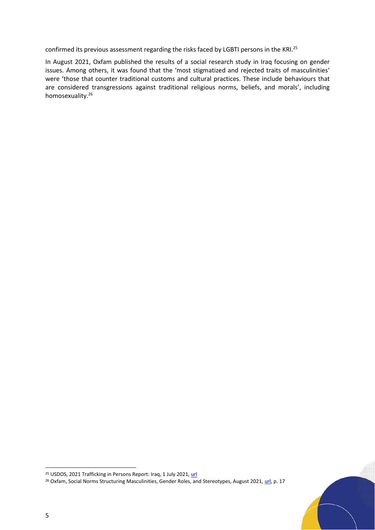confirmed its previous assessment regarding the risks faced by LGBTI persons in the KRI.<sup>25</sup>

In August 2021, Oxfam published the results of a social research study in Iraq focusing on gender issues. Among others, it was found that the 'most stigmatized and rejected traits of masculinities' were 'those that counter traditional customs and cultural practices. These include behaviours that are considered transgressions against traditional religious norms, beliefs, and morals', including homosexuality. 26

<sup>&</sup>lt;sup>25</sup> USDOS, 2021 Trafficking in Persons Report: Iraq, 1 July 2021, url

<sup>&</sup>lt;sup>26</sup> Oxfam, Social Norms Structuring Masculinities, Gender Roles, and Stereotypes, August 2021, url, p. 17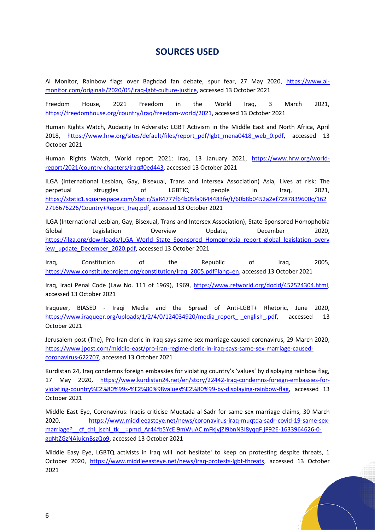## **SOURCES USED**

Al Monitor, Rainbow flags over Baghdad fan debate, spur fear, 27 May 2020, https://www.almonitor.com/originals/2020/05/iraq-lgbt-culture-justice, accessed 13 October 2021

Freedom House, 2021 Freedom in the World Iraq, 3 March 2021, https://freedomhouse.org/country/iraq/freedom-world/2021, accessed 13 October 2021

Human Rights Watch, Audacity In Adversity: LGBT Activism in the Middle East and North Africa, April 2018, https://www.hrw.org/sites/default/files/report\_pdf/lgbt\_mena0418\_web\_0.pdf, accessed 13 October 2021

Human Rights Watch, World report 2021: Iraq, 13 January 2021, https://www.hrw.org/worldreport/2021/country-chapters/iraq#0ed443, accessed 13 October 2021

ILGA (International Lesbian, Gay, Bisexual, Trans and Intersex Association) Asia, Lives at risk: The perpetual struggles of LGBTIQ people in Iraq, 2021, https://static1.squarespace.com/static/5a84777f64b05fa9644483fe/t/60b8b0452a2ef7287839600c/162 2716676226/Country+Report\_Iraq.pdf, accessed 13 October 2021

ILGA (International Lesbian, Gay, Bisexual, Trans and Intersex Association), State-Sponsored Homophobia Global Legislation Overview Update, December 2020, https://ilga.org/downloads/ILGA\_World\_State\_Sponsored\_Homophobia\_report\_global\_legislation\_overv iew\_update\_December\_2020.pdf, accessed 13 October 2021

Iraq, Constitution of the Republic of Iraq, 2005, https://www.constituteproject.org/constitution/Iraq\_2005.pdf?lang=en, accessed 13 October 2021

Iraq, Iraqi Penal Code (Law No. 111 of 1969), 1969, https://www.refworld.org/docid/452524304.html, accessed 13 October 2021

Iraqueer, BIASED - Iraqi Media and the Spread of Anti-LGBT+ Rhetoric, June 2020, https://www.iraqueer.org/uploads/1/2/4/0/124034920/media\_report\_-\_english\_.pdf, accessed 13 October 2021

Jerusalem post (The), Pro-Iran cleric in Iraq says same-sex marriage caused coronavirus, 29 March 2020, https://www.jpost.com/middle-east/pro-iran-regime-cleric-in-iraq-says-same-sex-marriage-causedcoronavirus-622707, accessed 13 October 2021

Kurdistan 24, Iraq condemns foreign embassies for violating country's 'values' by displaying rainbow flag, 17 May 2020, https://www.kurdistan24.net/en/story/22442-Iraq-condemns-foreign-embassies-forviolating-country%E2%80%99s-%E2%80%98values%E2%80%99-by-displaying-rainbow-flag, accessed 13 October 2021

Middle East Eye, Coronavirus: Iraqis criticise Muqtada al-Sadr for same-sex marriage claims, 30 March 2020, https://www.middleeasteye.net/news/coronavirus-iraq-muqtda-sadr-covid-19-same-sexmarriage? cf chl\_jschl\_tk\_=pmd\_Ar44fb5YcEI9mWuAC.mFkjyjZI9bnN3I8yqqF.jP92E-1633964626-0gqNtZGzNAjujcnBszQo9, accessed 13 October 2021

Middle Easy Eye, LGBTQ activists in Iraq will 'not hesitate' to keep on protesting despite threats, 1 October 2020, https://www.middleeasteye.net/news/iraq-protests-lgbt-threats, accessed 13 October 2021